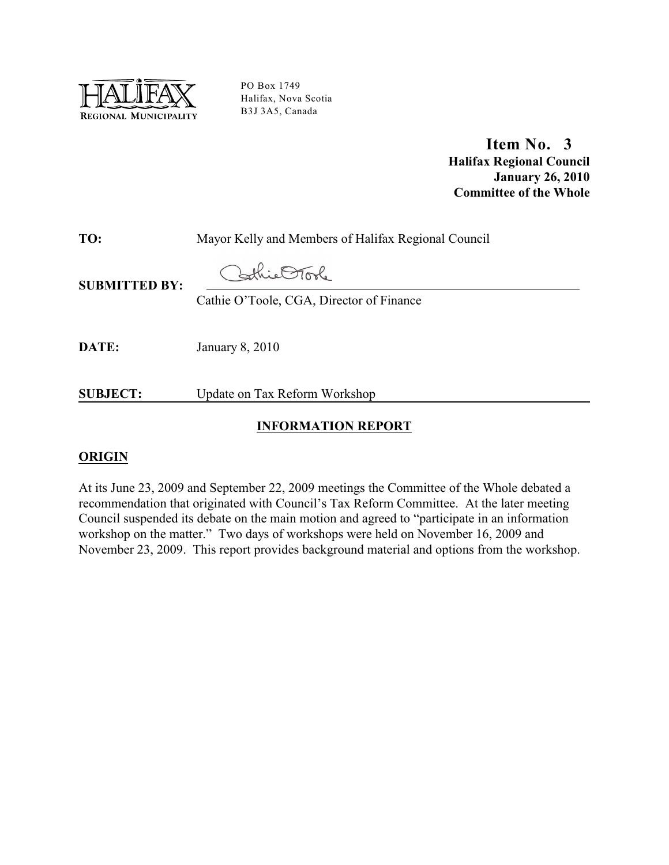

PO Box 1749 Halifax, Nova Scotia B3J 3A5, Canada

> **Item No. 3 Halifax Regional Council January 26, 2010 Committee of the Whole**

**TO:** Mayor Kelly and Members of Halifax Regional Council

this OTool

**SUBMITTED BY:**

Cathie O'Toole, CGA, Director of Finance

**DATE:** January 8, 2010

**SUBJECT:** Update on Tax Reform Workshop

### **INFORMATION REPORT**

### **ORIGIN**

At its June 23, 2009 and September 22, 2009 meetings the Committee of the Whole debated a recommendation that originated with Council's Tax Reform Committee. At the later meeting Council suspended its debate on the main motion and agreed to "participate in an information workshop on the matter." Two days of workshops were held on November 16, 2009 and November 23, 2009. This report provides background material and options from the workshop.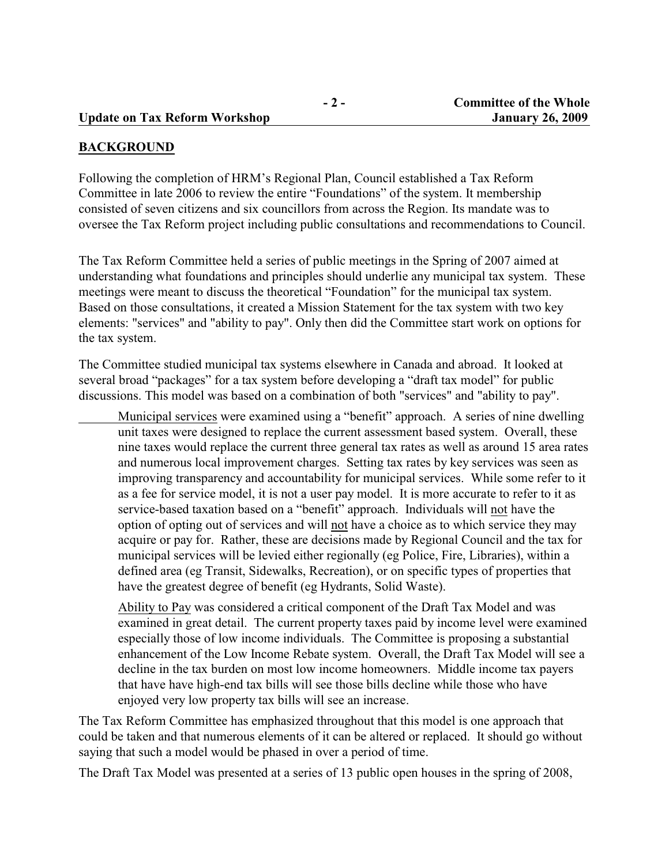#### **BACKGROUND**

Following the completion of HRM's Regional Plan, Council established a Tax Reform Committee in late 2006 to review the entire "Foundations" of the system. It membership consisted of seven citizens and six councillors from across the Region. Its mandate was to oversee the Tax Reform project including public consultations and recommendations to Council.

The Tax Reform Committee held a series of public meetings in the Spring of 2007 aimed at understanding what foundations and principles should underlie any municipal tax system. These meetings were meant to discuss the theoretical "Foundation" for the municipal tax system. Based on those consultations, it created a Mission Statement for the tax system with two key elements: "services" and "ability to pay". Only then did the Committee start work on options for the tax system.

The Committee studied municipal tax systems elsewhere in Canada and abroad. It looked at several broad "packages" for a tax system before developing a "draft tax model" for public discussions. This model was based on a combination of both "services" and "ability to pay".

Municipal services were examined using a "benefit" approach. A series of nine dwelling unit taxes were designed to replace the current assessment based system. Overall, these nine taxes would replace the current three general tax rates as well as around 15 area rates and numerous local improvement charges. Setting tax rates by key services was seen as improving transparency and accountability for municipal services. While some refer to it as a fee for service model, it is not a user pay model. It is more accurate to refer to it as service-based taxation based on a "benefit" approach. Individuals will not have the option of opting out of services and will not have a choice as to which service they may acquire or pay for. Rather, these are decisions made by Regional Council and the tax for municipal services will be levied either regionally (eg Police, Fire, Libraries), within a defined area (eg Transit, Sidewalks, Recreation), or on specific types of properties that have the greatest degree of benefit (eg Hydrants, Solid Waste).

Ability to Pay was considered a critical component of the Draft Tax Model and was examined in great detail. The current property taxes paid by income level were examined especially those of low income individuals. The Committee is proposing a substantial enhancement of the Low Income Rebate system. Overall, the Draft Tax Model will see a decline in the tax burden on most low income homeowners. Middle income tax payers that have have high-end tax bills will see those bills decline while those who have enjoyed very low property tax bills will see an increase.

The Tax Reform Committee has emphasized throughout that this model is one approach that could be taken and that numerous elements of it can be altered or replaced. It should go without saying that such a model would be phased in over a period of time.

The Draft Tax Model was presented at a series of 13 public open houses in the spring of 2008,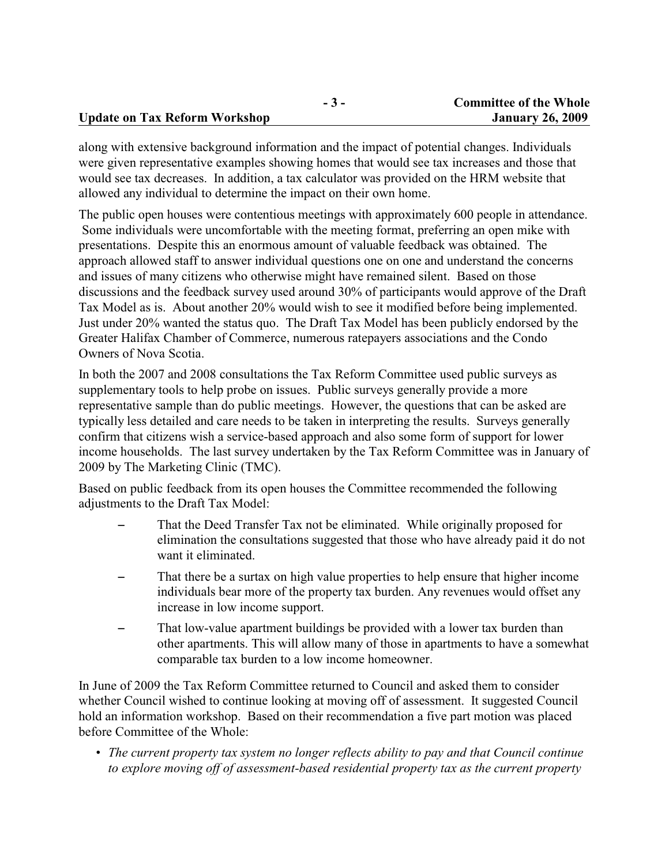|                                      | $-5-$ | <b>Committee of the Whole</b> |
|--------------------------------------|-------|-------------------------------|
| <b>Update on Tax Reform Workshop</b> |       | <b>January 26, 2009</b>       |

along with extensive background information and the impact of potential changes. Individuals were given representative examples showing homes that would see tax increases and those that would see tax decreases. In addition, a tax calculator was provided on the HRM website that allowed any individual to determine the impact on their own home.

The public open houses were contentious meetings with approximately 600 people in attendance. Some individuals were uncomfortable with the meeting format, preferring an open mike with presentations. Despite this an enormous amount of valuable feedback was obtained. The approach allowed staff to answer individual questions one on one and understand the concerns and issues of many citizens who otherwise might have remained silent. Based on those discussions and the feedback survey used around 30% of participants would approve of the Draft Tax Model as is. About another 20% would wish to see it modified before being implemented. Just under 20% wanted the status quo. The Draft Tax Model has been publicly endorsed by the Greater Halifax Chamber of Commerce, numerous ratepayers associations and the Condo Owners of Nova Scotia.

In both the 2007 and 2008 consultations the Tax Reform Committee used public surveys as supplementary tools to help probe on issues. Public surveys generally provide a more representative sample than do public meetings. However, the questions that can be asked are typically less detailed and care needs to be taken in interpreting the results. Surveys generally confirm that citizens wish a service-based approach and also some form of support for lower income households. The last survey undertaken by the Tax Reform Committee was in January of 2009 by The Marketing Clinic (TMC).

Based on public feedback from its open houses the Committee recommended the following adjustments to the Draft Tax Model:

- That the Deed Transfer Tax not be eliminated. While originally proposed for elimination the consultations suggested that those who have already paid it do not want it eliminated.
- That there be a surtax on high value properties to help ensure that higher income individuals bear more of the property tax burden. Any revenues would offset any increase in low income support.
- That low-value apartment buildings be provided with a lower tax burden than other apartments. This will allow many of those in apartments to have a somewhat comparable tax burden to a low income homeowner.

In June of 2009 the Tax Reform Committee returned to Council and asked them to consider whether Council wished to continue looking at moving off of assessment. It suggested Council hold an information workshop. Based on their recommendation a five part motion was placed before Committee of the Whole:

• *The current property tax system no longer reflects ability to pay and that Council continue to explore moving off of assessment-based residential property tax as the current property*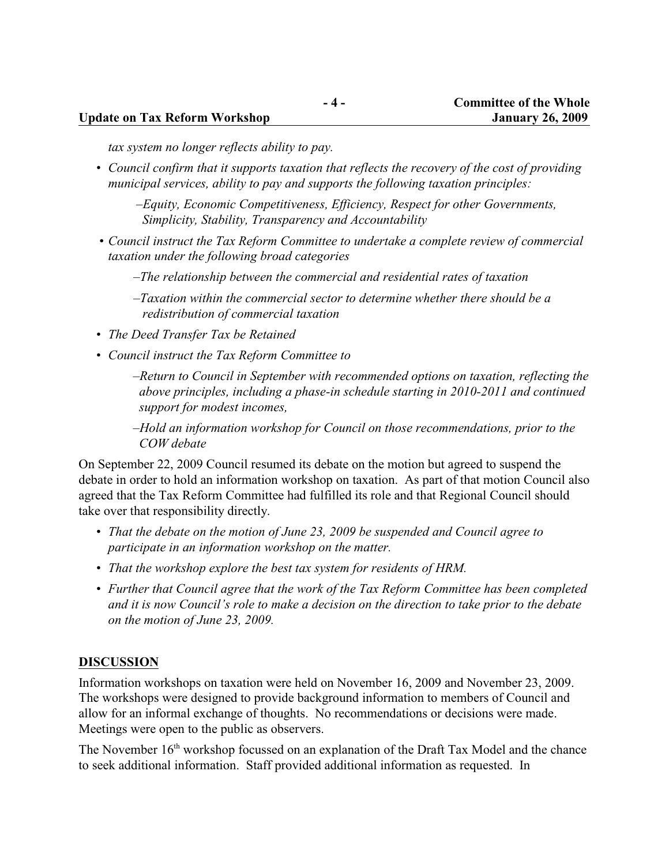#### **Update on Tax Reform Workshop January 26, 2009**

*tax system no longer reflects ability to pay.*

*• Council confirm that it supports taxation that reflects the recovery of the cost of providing municipal services, ability to pay and supports the following taxation principles:* 

*–Equity, Economic Competitiveness, Efficiency, Respect for other Governments, Simplicity, Stability, Transparency and Accountability*

*• Council instruct the Tax Reform Committee to undertake a complete review of commercial taxation under the following broad categories*

*–The relationship between the commercial and residential rates of taxation*

*–Taxation within the commercial sector to determine whether there should be a redistribution of commercial taxation*

- *• The Deed Transfer Tax be Retained*
- *• Council instruct the Tax Reform Committee to*

*–Return to Council in September with recommended options on taxation, reflecting the above principles, including a phase-in schedule starting in 2010-2011 and continued support for modest incomes,*

*–Hold an information workshop for Council on those recommendations, prior to the COW debate*

On September 22, 2009 Council resumed its debate on the motion but agreed to suspend the debate in order to hold an information workshop on taxation. As part of that motion Council also agreed that the Tax Reform Committee had fulfilled its role and that Regional Council should take over that responsibility directly.

- *• That the debate on the motion of June 23, 2009 be suspended and Council agree to participate in an information workshop on the matter.*
- *• That the workshop explore the best tax system for residents of HRM.*
- *• Further that Council agree that the work of the Tax Reform Committee has been completed and it is now Council's role to make a decision on the direction to take prior to the debate on the motion of June 23, 2009.*

#### **DISCUSSION**

Information workshops on taxation were held on November 16, 2009 and November 23, 2009. The workshops were designed to provide background information to members of Council and allow for an informal exchange of thoughts. No recommendations or decisions were made. Meetings were open to the public as observers.

The November 16<sup>th</sup> workshop focussed on an explanation of the Draft Tax Model and the chance to seek additional information. Staff provided additional information as requested. In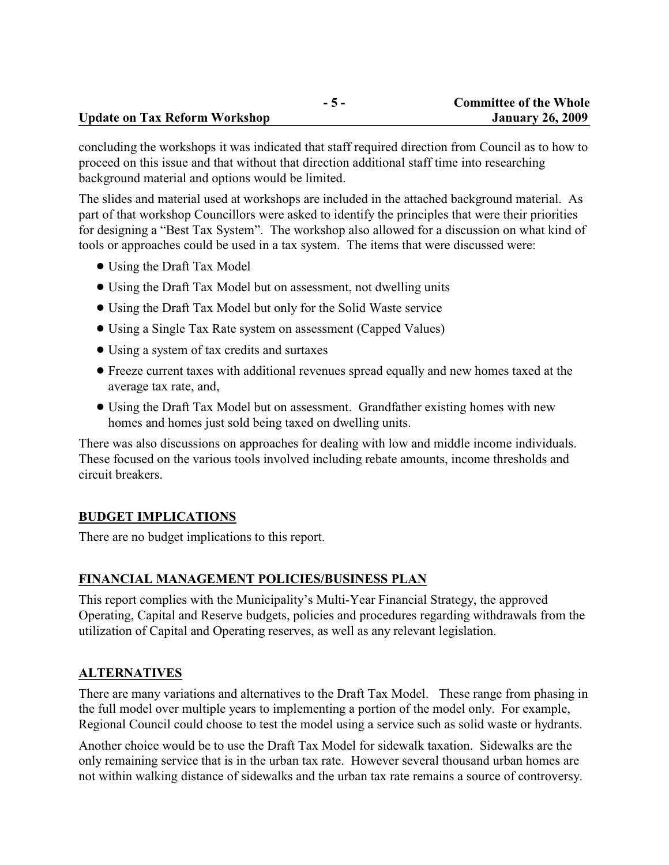concluding the workshops it was indicated that staff required direction from Council as to how to proceed on this issue and that without that direction additional staff time into researching background material and options would be limited.

The slides and material used at workshops are included in the attached background material. As part of that workshop Councillors were asked to identify the principles that were their priorities for designing a "Best Tax System". The workshop also allowed for a discussion on what kind of tools or approaches could be used in a tax system. The items that were discussed were:

- Using the Draft Tax Model
- ! Using the Draft Tax Model but on assessment, not dwelling units
- ! Using the Draft Tax Model but only for the Solid Waste service
- Using a Single Tax Rate system on assessment (Capped Values)
- Using a system of tax credits and surtaxes
- ! Freeze current taxes with additional revenues spread equally and new homes taxed at the average tax rate, and,
- ! Using the Draft Tax Model but on assessment. Grandfather existing homes with new homes and homes just sold being taxed on dwelling units.

There was also discussions on approaches for dealing with low and middle income individuals. These focused on the various tools involved including rebate amounts, income thresholds and circuit breakers.

#### **BUDGET IMPLICATIONS**

There are no budget implications to this report.

#### **FINANCIAL MANAGEMENT POLICIES/BUSINESS PLAN**

This report complies with the Municipality's Multi-Year Financial Strategy, the approved Operating, Capital and Reserve budgets, policies and procedures regarding withdrawals from the utilization of Capital and Operating reserves, as well as any relevant legislation.

#### **ALTERNATIVES**

There are many variations and alternatives to the Draft Tax Model. These range from phasing in the full model over multiple years to implementing a portion of the model only. For example, Regional Council could choose to test the model using a service such as solid waste or hydrants.

Another choice would be to use the Draft Tax Model for sidewalk taxation. Sidewalks are the only remaining service that is in the urban tax rate. However several thousand urban homes are not within walking distance of sidewalks and the urban tax rate remains a source of controversy.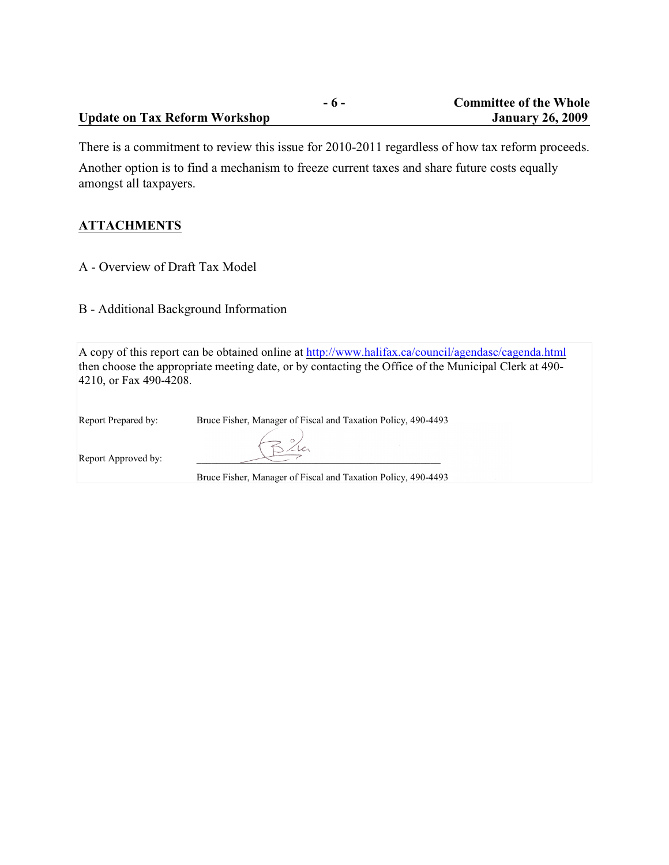|                                      | $\sim$ $\sim$ $\sim$ $\sim$ $\sim$ |
|--------------------------------------|------------------------------------|
| <b>Update on Tax Reform Workshop</b> |                                    |

There is a commitment to review this issue for 2010-2011 regardless of how tax reform proceeds.

Another option is to find a mechanism to freeze current taxes and share future costs equally amongst all taxpayers.

### **ATTACHMENTS**

A - Overview of Draft Tax Model

B - Additional Background Information

A copy of this report can be obtained online at <http://www.halifax.ca/council/agendasc/cagenda.html> then choose the appropriate meeting date, or by contacting the Office of the Municipal Clerk at 490- 4210, or Fax 490-4208.

Report Prepared by: Bruce Fisher, Manager of Fiscal and Taxation Policy, 490-4493

Report Approved by:

Bruce Fisher, Manager of Fiscal and Taxation Policy, 490-4493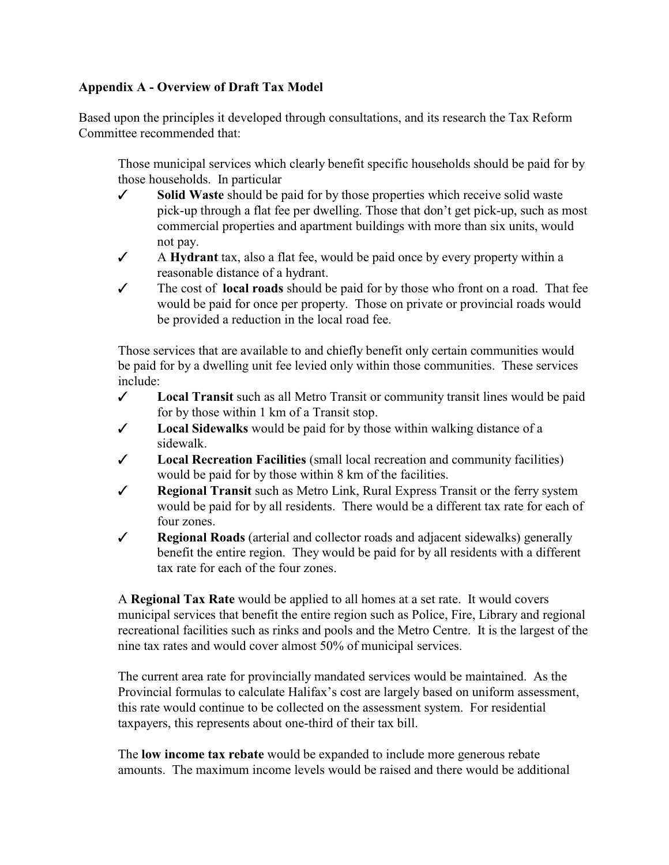### **Appendix A - Overview of Draft Tax Model**

Based upon the principles it developed through consultations, and its research the Tax Reform Committee recommended that:

Those municipal services which clearly benefit specific households should be paid for by those households. In particular

- T **Solid Waste** should be paid for by those properties which receive solid waste pick-up through a flat fee per dwelling. Those that don't get pick-up, such as most commercial properties and apartment buildings with more than six units, would not pay.
- T A **Hydrant** tax, also a flat fee, would be paid once by every property within a reasonable distance of a hydrant.
- $\checkmark$  The cost of **local roads** should be paid for by those who front on a road. That fee would be paid for once per property. Those on private or provincial roads would be provided a reduction in the local road fee.

Those services that are available to and chiefly benefit only certain communities would be paid for by a dwelling unit fee levied only within those communities. These services include:

- **∠** Local Transit such as all Metro Transit or community transit lines would be paid for by those within 1 km of a Transit stop.
- $\checkmark$  Local Sidewalks would be paid for by those within walking distance of a sidewalk.
- T **Local Recreation Facilities** (small local recreation and community facilities) would be paid for by those within 8 km of the facilities.
- T **Regional Transit** such as Metro Link, Rural Express Transit or the ferry system would be paid for by all residents. There would be a different tax rate for each of four zones.
- T **Regional Roads** (arterial and collector roads and adjacent sidewalks) generally benefit the entire region. They would be paid for by all residents with a different tax rate for each of the four zones.

A **Regional Tax Rate** would be applied to all homes at a set rate. It would covers municipal services that benefit the entire region such as Police, Fire, Library and regional recreational facilities such as rinks and pools and the Metro Centre. It is the largest of the nine tax rates and would cover almost 50% of municipal services.

The current area rate for provincially mandated services would be maintained. As the Provincial formulas to calculate Halifax's cost are largely based on uniform assessment, this rate would continue to be collected on the assessment system. For residential taxpayers, this represents about one-third of their tax bill.

The **low income tax rebate** would be expanded to include more generous rebate amounts. The maximum income levels would be raised and there would be additional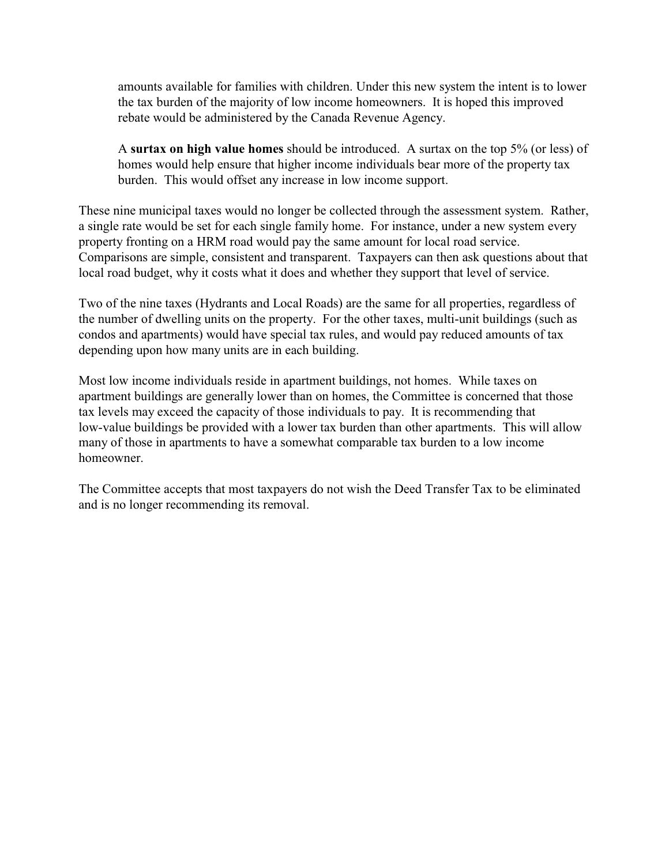amounts available for families with children. Under this new system the intent is to lower the tax burden of the majority of low income homeowners. It is hoped this improved rebate would be administered by the Canada Revenue Agency.

A **surtax on high value homes** should be introduced. A surtax on the top 5% (or less) of homes would help ensure that higher income individuals bear more of the property tax burden. This would offset any increase in low income support.

These nine municipal taxes would no longer be collected through the assessment system. Rather, a single rate would be set for each single family home. For instance, under a new system every property fronting on a HRM road would pay the same amount for local road service. Comparisons are simple, consistent and transparent. Taxpayers can then ask questions about that local road budget, why it costs what it does and whether they support that level of service.

Two of the nine taxes (Hydrants and Local Roads) are the same for all properties, regardless of the number of dwelling units on the property. For the other taxes, multi-unit buildings (such as condos and apartments) would have special tax rules, and would pay reduced amounts of tax depending upon how many units are in each building.

Most low income individuals reside in apartment buildings, not homes. While taxes on apartment buildings are generally lower than on homes, the Committee is concerned that those tax levels may exceed the capacity of those individuals to pay. It is recommending that low-value buildings be provided with a lower tax burden than other apartments. This will allow many of those in apartments to have a somewhat comparable tax burden to a low income homeowner.

The Committee accepts that most taxpayers do not wish the Deed Transfer Tax to be eliminated and is no longer recommending its removal.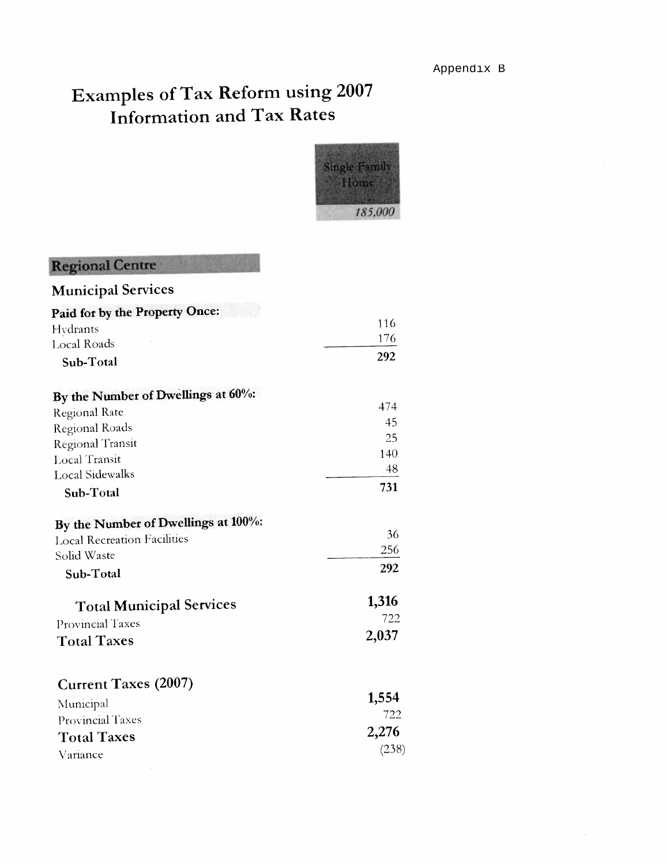

| <b>Regional Centre</b>              |       |
|-------------------------------------|-------|
| <b>Municipal Services</b>           |       |
| Paid for by the Property Once:      |       |
| Hydrants                            | 116   |
| <b>Local Roads</b>                  | 176   |
| Sub-Total                           | 292   |
| By the Number of Dwellings at 60%:  |       |
| Regional Rate                       | 474   |
| Regional Roads                      | 45    |
| <b>Regional Transit</b>             | 25    |
| Local Transit                       | 140   |
| <b>Local Sidewalks</b>              | 48    |
| Sub-Total                           | 731   |
| By the Number of Dwellings at 100%: |       |
| <b>Local Recreation Facilities</b>  | 36    |
| Solid Waste                         | 256   |
| Sub-Total                           | 292   |
| <b>Total Municipal Services</b>     | 1,316 |
| Provincial Taxes                    | 722   |
| <b>Total Taxes</b>                  | 2,037 |
| <b>Current Taxes (2007)</b>         |       |
| Municipal                           | 1,554 |
| Provincial Taxes                    | 722   |
| <b>Total Taxes</b>                  | 2,276 |
| Variance                            | (238) |
|                                     |       |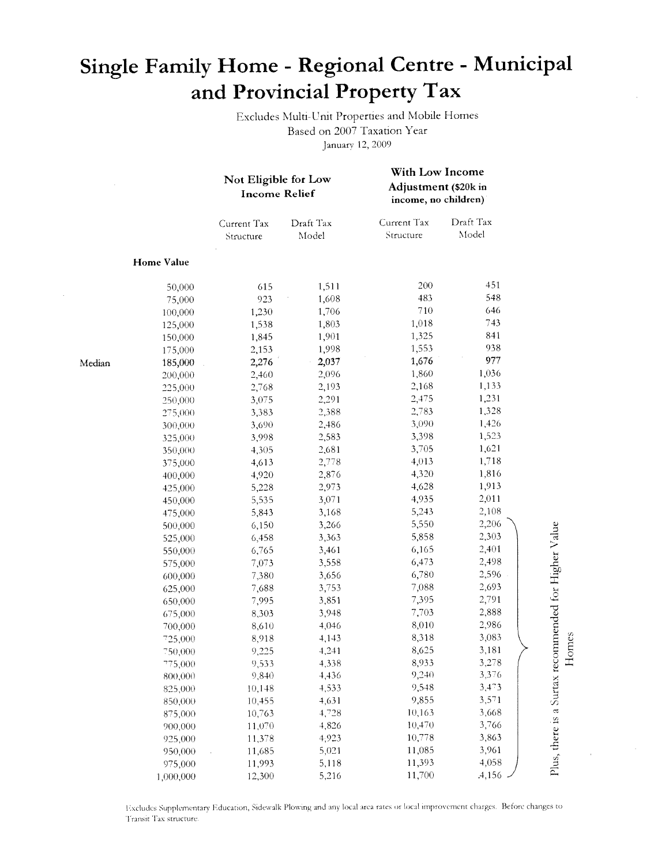## Single Family Home - Regional Centre - Municipal and Provincial Property Tax

Excludes Multi-Unit Properties and Mobile Homes Based on 2007 Taxation Year January 12, 2009

With Low Income

|        |            | Not Eligible for Low<br><b>Income Relief</b> |                    | With Low Income<br>Adjustment (\$20k in<br>income, no children) |                    |
|--------|------------|----------------------------------------------|--------------------|-----------------------------------------------------------------|--------------------|
|        |            | Current Tax<br>Structure                     | Draft Tax<br>Model | Current Tax<br>Structure                                        | Draft Tax<br>Model |
|        | Home Value |                                              |                    |                                                                 |                    |
|        | 50,000     | 615                                          | 1,511              | 200                                                             | 451                |
|        | 75,000     | 923                                          | 1,608              | 483                                                             | 548                |
|        | 100,000    | 1,230                                        | 1,706              | 710                                                             | 646                |
|        | 125,000    | 1,538                                        | 1,803              | 1,018                                                           | 743                |
|        | 150,000    | 1,845                                        | 1,901              | 1,325                                                           | 841                |
|        | 175,000    | 2,153                                        | 1,998              | 1,553                                                           | 938                |
| Median | 185,000    | 2,276                                        | 2,037              | 1,676                                                           | 977                |
|        | 200,000    | 2,460                                        | 2,096              | 1,860                                                           | 1,036              |
|        | 225,000    | 2,768                                        | 2,193              | 2,168                                                           | 1,133              |
|        | 250,000    | 3,075                                        | 2,291              | 2,475                                                           | 1,231              |
|        | 275,000    | 3,383                                        | 2,388              | 2,783                                                           | 1,328              |
|        | 300,000    | 3,690                                        | 2,486              | 3,090                                                           | 1,426              |
|        | 325,000    | 3,998                                        | 2,583              | 3,398                                                           | 1,523              |
|        | 350,000    | 4,305                                        | 2,681              | 3,705                                                           | 1,621              |
|        | 375,000    | 4,613                                        | 2,778              | 4,013                                                           | 1,718              |
|        | 400,000    | 4,920                                        | 2,876              | 4,320                                                           | 1,816              |
|        | 425,000    | 5,228                                        | 2,973              | 4,628                                                           | 1,913              |
|        | 450,000    | 5,535                                        | 3,071              | 4,935                                                           | 2,011              |
|        | 475,000    | 5,843                                        | 3,168              | 5,243                                                           | 2,108              |
|        | 500,000    | 6,150                                        | 3,266              | 5,550                                                           | 2,206              |
|        | 525,000    | 6,458                                        | 3,363              | 5,858                                                           | 2,303              |
|        | 550,000    | 6,765                                        | 3,461              | 6,165                                                           | 2,401              |
|        | 575,000    | 7,073                                        | 3,558              | 6,473                                                           | 2,498              |
|        | 600,000    | 7,380                                        | 3,656              | 6,780                                                           | 2,596              |
|        | 625,000    | 7,688                                        | 3,753              | 7,088                                                           | 2,693              |
|        | 650,000    | 7,995                                        | 3,851              | 7,395                                                           | 2,791              |
|        | 675,000    | 8,303                                        | 3,948              | 7,703                                                           | 2,888              |
|        | 700,000    | 8,610                                        | 4,046              | 8,010                                                           | 2,986              |
|        | 725,000    | 8,918                                        | 4,143              | 8,318                                                           | 3,083              |
|        | 750,000    | 9,225                                        | 4,241              | 8,625                                                           | 3,181              |
|        | 775,000    | 9,533                                        | 4,338              | 8,933                                                           | 3,278              |
|        | 800,000    | 9,840                                        | 4,436              | 9,240                                                           | 3,376              |
|        | 825,000    | 10,148                                       | 4,533              | 9,548                                                           | 3,473              |
|        | 850,000    | 10,455                                       | 4,631              | 9,855                                                           | 3,571              |
|        | 875,000    | 10,763                                       | 4,728              | 10,163                                                          | 3,668              |
|        | 900,000    | 11,070                                       | 4,826              | 10,470                                                          | 3,766              |
|        | 925,000    | 11,378                                       | 4,923              | 10,778                                                          | 3,863              |
|        | 950,000    | 11,685                                       | 5,021              | 11,085                                                          | 3,961              |
|        | 975,000    | 11,993                                       | 5,118              | 11,393                                                          | 4,058              |
|        | 1,000,000  | 12,300                                       | 5,216              | 11,700                                                          | .4,156             |

Excludes Supplementary Education, Sidewalk Plowing and any local area rates or local improvement charges. Before changes to Transit Tax structure.

Plus, there is a Surtax recommended for Higher Value Homes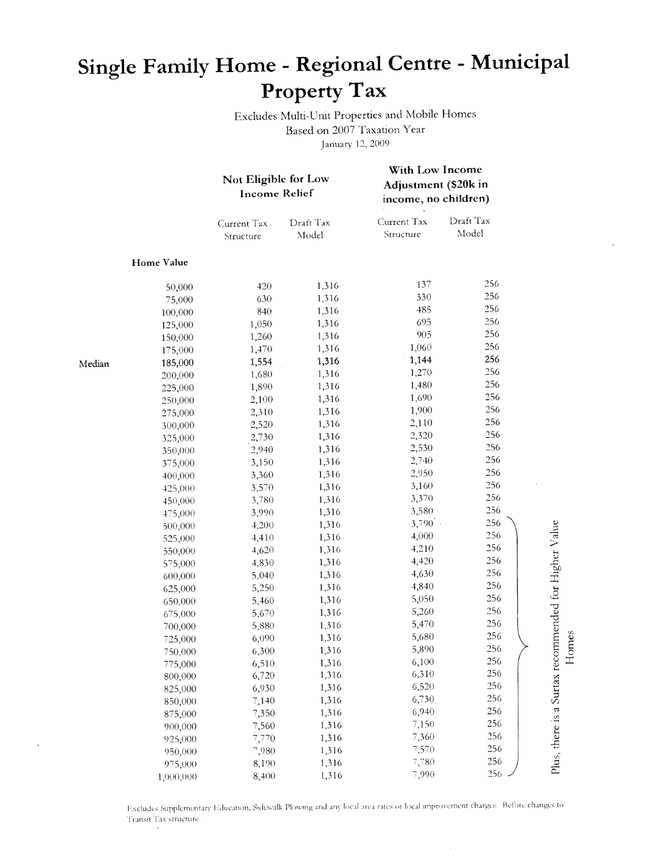## Single Family Home - Regional Centre - Municipal Property Tax

Excludes Multi-Unit Properties and Mobile Homes Based on 2007 Taxation Year January 12, 2009

|        |                   | Not Eligible for Low<br><b>Income Relief</b> |                    | With Low Income<br>Adjustment (\$20k in<br>income, no children) |                    |                                                      |
|--------|-------------------|----------------------------------------------|--------------------|-----------------------------------------------------------------|--------------------|------------------------------------------------------|
|        |                   | Current Tax<br>Structure                     | Draft Tax<br>Model | Current Tax<br>Structure                                        | Draft Tax<br>Model |                                                      |
|        | <b>Home Value</b> |                                              |                    |                                                                 |                    |                                                      |
|        | 50,000            | 420                                          | 1,316              | 137                                                             | 256                |                                                      |
|        | 75,000            | 630                                          | 1,316              | 330                                                             | 256                |                                                      |
|        | 100,000           | 840                                          | 1,316              | 485                                                             | 256                |                                                      |
|        | 125,000           | 1,050                                        | 1,316              | 695                                                             | 256                |                                                      |
|        | 150,000           | 1,260                                        | 1,316              | 905                                                             | 256                |                                                      |
|        | 175,000           | 1,470                                        | 1,316              | 1,060                                                           | 256                |                                                      |
| Median | 185,000           | 1,554                                        | 1,316              | 1,144                                                           | 256                |                                                      |
|        | 200,000           | 1,680                                        | 1,316              | 1,270                                                           | 256                |                                                      |
|        | 225,000           | 1,890                                        | 1,316              | 1,480                                                           | 256                |                                                      |
|        | 250,000           | 2,100                                        | 1,316              | 1,690                                                           | 256                |                                                      |
|        | 275,000           | 2,310                                        | 1,316              | 1,900                                                           | 256                |                                                      |
|        | 300,000           | 2,520                                        | 1,316              | 2,110                                                           | 256                |                                                      |
|        | 325,000           | 2,730                                        | 1,316              | 2,320                                                           | 256                |                                                      |
|        | 350,000           | 2,940                                        | 1,316              | 2,530                                                           | 256                |                                                      |
|        | 375,000           | 3,150                                        | 1,316              | 2,740                                                           | 256                |                                                      |
|        | 400,000           | 3,360                                        | 1,316              | 2,950                                                           | 256                |                                                      |
|        | 425,000           | 3,570                                        | 1,316              | 3,160                                                           | 256                |                                                      |
|        | 450,000           | 3,780                                        | 1,316              | 3,370                                                           | 256                |                                                      |
|        | 475,000           | 3,990                                        | 1,316              | 3,580                                                           | 256                |                                                      |
|        | 500,000           | 4,200                                        | 1,316              | 3,790                                                           | 256                |                                                      |
|        | 525,000           | 4,410                                        | 1,316              | 4,000                                                           | 256                |                                                      |
|        | 550,000           | 4,620                                        | 1,316              | 4,210                                                           | 256                |                                                      |
|        | 575,000           | 4,830                                        | 1,316              | 4,420                                                           | 256                |                                                      |
|        | 600,000           | 5,040                                        | 1,316              | 4,630                                                           | 256                |                                                      |
|        | 625,000           | 5,250                                        | 1,316              | 4,840                                                           | 256                |                                                      |
|        | 650,000           | 5,460                                        | 1,316              | 5,050                                                           | 256                |                                                      |
|        | 675,000           | 5,670                                        | 1,316              | 5,260                                                           | 256                |                                                      |
|        | 700,000           | 5,880                                        | 1,316              | 5,470                                                           | 256                |                                                      |
|        | 725,000           | 6,090                                        | 1,316              | 5,680                                                           | 256                | Homes                                                |
|        | 750,000           | 6,300                                        | 1,316              | 5,890                                                           | 256                |                                                      |
|        | 775,000           | 6,510                                        | 1,316              | 6,100                                                           | 256                |                                                      |
|        | 800,000           | 6,720                                        | 1,316              | 6,310                                                           | 256                |                                                      |
|        | 825,000           | 6,930                                        | 1,316              | 6,520                                                           | 256                |                                                      |
|        | 850,000           | 7,140                                        | 1,316              | 6,730                                                           | 256                |                                                      |
|        | 875,000           | 7,350                                        | 1,316              | 6,940                                                           | 256                |                                                      |
|        | 900,000           | 7,560                                        | 1,316              | 7,150                                                           | 256                |                                                      |
|        | 925,000           | 7,770                                        | 1,316              | 7,360                                                           | 256                |                                                      |
|        | 950,000           | 7,980                                        | 1,316              | 7,570                                                           | 256                |                                                      |
|        | 975,000           | 8,190                                        | 1,316              | 7,780                                                           | 256                | Plus, there is a Surtax recommended for Higher Value |
|        | 1,000,000         | 8,400                                        | 1,316              | 7,990                                                           | 256                |                                                      |

Excludes Supplementary Education, Sidewalk Plowing and any local area rates or local improvement charges. Before changes to Transit Tax structure.

 $\bar{\mathbf{x}}$ 

 $\cdot$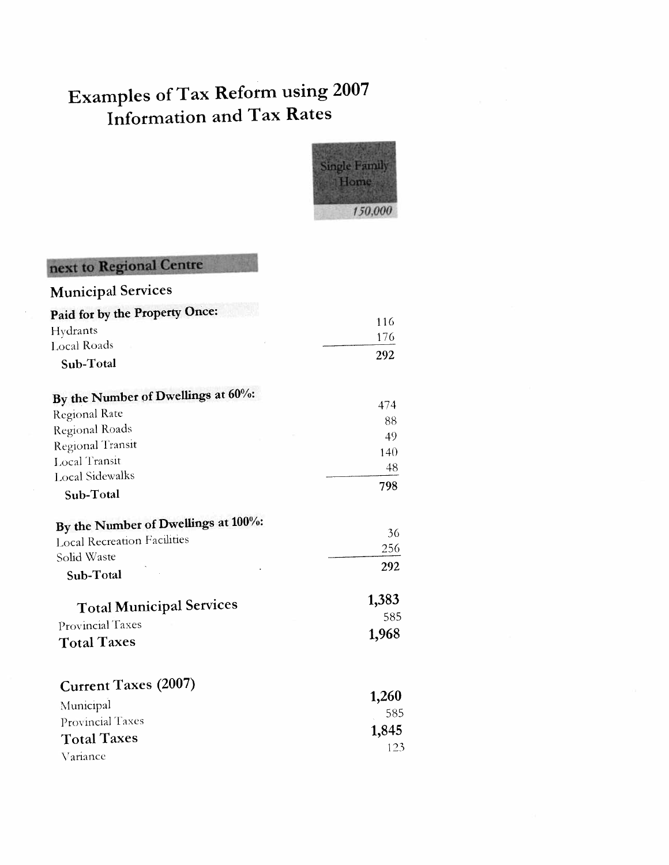

123

### next to Regional Centre

| <b>Municipal Services</b>              |       |
|----------------------------------------|-------|
| Paid for by the Property Once:         |       |
| Hydrants                               | 116   |
| <b>Local Roads</b>                     | 176   |
| Sub-Total                              | 292   |
| By the Number of Dwellings at $60\%$ : |       |
| <b>Regional Rate</b>                   | 474   |
| Regional Roads                         | 88    |
| Regional Transit                       | 49    |
| Local Transit                          | 140   |
| <b>Local Sidewalks</b>                 | 48    |
| Sub-Total                              | 798   |
| By the Number of Dwellings at 100%:    |       |
| <b>Local Recreation Facilities</b>     | 36    |
| Solid Waste                            | 256   |
| Sub-Total                              | 292   |
| <b>Total Municipal Services</b>        | 1,383 |
| Provincial Taxes                       | 585   |
| <b>Total Taxes</b>                     | 1,968 |
| <b>Current Taxes (2007)</b>            |       |
| Municipal                              | 1,260 |
| Provincial Taxes                       | 585   |
| <b>Total Taxes</b>                     | 1,845 |
|                                        |       |

Variance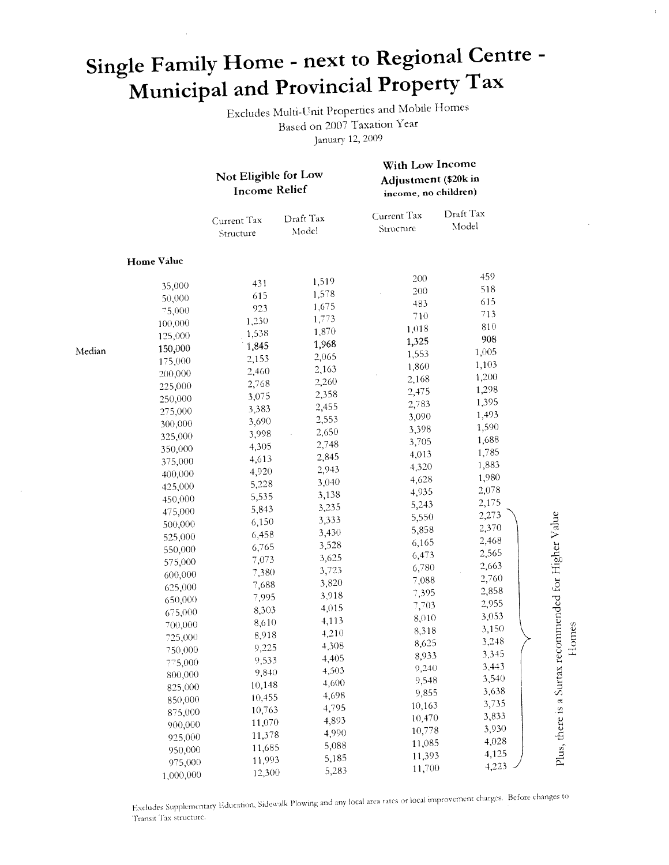# Single Family Home - next to Regional Centre -Municipal and Provincial Property Tax

Excludes Multi-Unit Properties and Mobile Homes Based on 2007 Taxation Year January 12, 2009

With Low Income

 $\pm$ 

|        |            | Not Eligible for Low<br><b>Income Relief</b> |                    | Adjustment (\$20k in<br>income, no children) |                    |                             |
|--------|------------|----------------------------------------------|--------------------|----------------------------------------------|--------------------|-----------------------------|
|        |            | Current Tax<br>Structure                     | Draft Tax<br>Model | Current Tax<br>Structure                     | Draft Tax<br>Model |                             |
|        | Home Value |                                              |                    |                                              |                    |                             |
|        | 35,000     | 431                                          | 1,519              | 200                                          | 459                |                             |
|        | 50,000     | 615                                          | 1,578              | 200                                          | 518                |                             |
|        | 75,000     | 923                                          | 1,675              | 483                                          | 615                |                             |
|        | 100,000    | 1,230                                        | 1,773              | 710                                          | 713                |                             |
|        | 125,000    | 1,538                                        | 1,870              | 1,018                                        | 810                |                             |
|        | 150,000    | 1,845                                        | 1,968              | 1,325                                        | 908                |                             |
| Median | 175,000    | 2,153                                        | 2,065              | 1,553                                        | 1,005              |                             |
|        | 200,000    | 2,460                                        | 2,163              | 1,860                                        | 1,103              |                             |
|        | 225,000    | 2,768                                        | 2,260              | 2,168                                        | 1,200              |                             |
|        | 250,000    | 3,075                                        | 2,358              | 2,475                                        | 1,298              |                             |
|        | 275,000    | 3,383                                        | 2,455              | 2,783                                        | 1,395              |                             |
|        | 300,000    | 3,690                                        | 2,553              | 3,090                                        | 1,493              |                             |
|        | 325,000    | 3,998                                        | 2,650              | 3,398                                        | 1,590              |                             |
|        | 350,000    | 4,305                                        | 2,748              | 3,705                                        | 1,688              |                             |
|        | 375,000    | 4,613                                        | 2,845              | 4,013                                        | 1,785              |                             |
|        | 400,000    | 4,920                                        | 2,943              | 4,320                                        | 1,883              |                             |
|        | 425,000    | 5,228                                        | 3,040              | 4,628                                        | 1,980              |                             |
|        | 450,000    | 5,535                                        | 3,138              | 4,935                                        | 2,078              |                             |
|        | 475,000    | 5,843                                        | 3,235              | 5,243                                        | 2,175              |                             |
|        | 500,000    | 6,150                                        | 3,333              | 5,550                                        | 2,273              | ecommended for Higher Value |
|        | 525,000    | 6,458                                        | 3,430              | 5,858                                        | 2,370              |                             |
|        | 550,000    | 6,765                                        | 3,528              | 6,165                                        | 2,468              |                             |
|        | 575,000    | 7,073                                        | 3,625              | 6,473                                        | 2,565              |                             |
|        | 600,000    | 7,380                                        | 3,723              | 6,780                                        | 2,663              |                             |
|        | 625,000    | 7,688                                        | 3,820              | 7,088                                        | 2,760              |                             |
|        | 650,000    | 7,995                                        | 3,918              | 7,395                                        | 2,858              |                             |
|        | 675,000    | 8,303                                        | 4,015              | 7,703                                        | 2,955              |                             |
|        | 700,000    | 8,610                                        | 4,113              | 8,010                                        | 3,053              |                             |
|        | 725,000    | 8,918                                        | 4,210              | 8,318                                        | 3,150              | Homes                       |
|        | 750,000    | 9,225                                        | 4,308              | 8,625                                        | 3,248              |                             |
|        | 775,000    | 9,533                                        | 4,405              | 8,933                                        | 3,345              |                             |
|        | 800,000    | 9,840                                        | 4,503              | 9,240                                        | 3,443              |                             |
|        | 825,000    | 10,148                                       | 4,600              | 9,548                                        | 3,540              |                             |
|        | 850,000    | 10,455                                       | 4,698              | 9,855                                        | 3,638              |                             |
|        | 875,000    | 10,763                                       | 4,795              | 10,163                                       | 3,735              |                             |
|        | 900,000    | 11,070                                       | 4,893              | 10,470                                       | 3,833              |                             |
|        | 925,000    | 11,378                                       | 4,990              | 10,778                                       | 3,930              |                             |
|        | 950,000    | 11,685                                       | 5,088              | 11,085                                       | 4,028              |                             |
|        | 975,000    | 11,993                                       | 5,185              | 11,393                                       | 4,125              | Plus, there is a Surtax r   |
|        | 1,000,000  | 12,300                                       | 5,283              | 11,700                                       | 4,223              |                             |

Excludes Supplementary Education, Sidewalk Plowing and any local area rates or local improvement charges. Before changes to Transit Tax structure.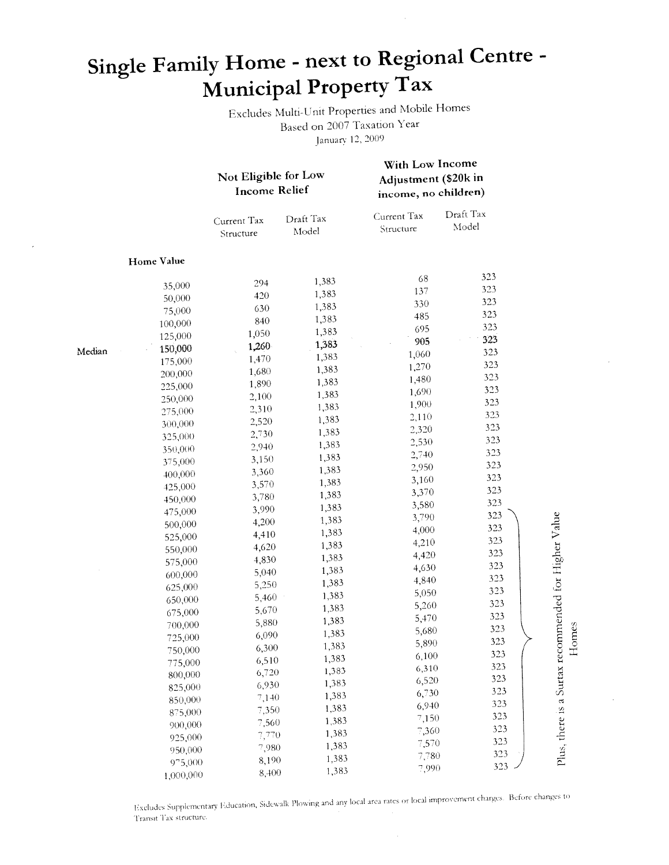# Single Family Home - next to Regional Centre -Municipal Property Tax

Excludes Multi-Unit Properties and Mobile Homes Based on 2007 Taxation Year January 12, 2009

|        |                   | Not Eligible for Low<br><b>Income Relief</b> |                    | With Low Income<br>Adjustment (\$20k in<br>income, no children) |                    |               |
|--------|-------------------|----------------------------------------------|--------------------|-----------------------------------------------------------------|--------------------|---------------|
|        |                   | Current Tax<br>Structure                     | Draft Tax<br>Model | Current Tax<br>Structure                                        | Draft Tax<br>Model |               |
|        | <b>Home Value</b> |                                              |                    |                                                                 |                    |               |
|        | 35,000            | 294                                          | 1,383              | 68                                                              | 323                |               |
|        | 50,000            | 420                                          | 1,383              | 137                                                             | 323                |               |
|        | 75,000            | 630                                          | 1,383              | 330                                                             | 323                |               |
|        | 100,000           | 840                                          | 1,383              | 485                                                             | 323                |               |
|        | 125,000           | 1,050                                        | 1,383              | 695                                                             | 323                |               |
|        | 150,000           | 1,260                                        | 1,383              | 905                                                             | 323                |               |
| Median | 175,000           | 1,470                                        | 1,383              | 1,060                                                           | 323                |               |
|        | 200,000           | 1,680                                        | 1,383              | 1,270                                                           | 323                |               |
|        | 225,000           | 1,890                                        | 1,383              | 1,480                                                           | 323                |               |
|        | 250,000           | 2,100                                        | 1,383              | 1,690                                                           | 323                |               |
|        | 275,000           | 2,310                                        | 1,383              | 1,900                                                           | 323                |               |
|        | 300,000           | 2,520                                        | 1,383              | 2,110                                                           | 323<br>323         |               |
|        | 325,000           | 2,730                                        | 1,383              | 2,320                                                           | 323                |               |
|        | 350,000           | 2,940                                        | 1,383              | 2,530                                                           | 323                |               |
|        | 375,000           | 3,150                                        | 1,383              | 2,740                                                           | 323                |               |
|        | 400,000           | 3,360                                        | 1,383              | 2,950                                                           | 323                |               |
|        | 425,000           | 3,570                                        | 1,383              | 3,160                                                           | 323                |               |
|        | 450,000           | 3,780                                        | 1,383              | 3,370                                                           | 323                |               |
|        | 475,000           | 3,990                                        | 1,383              | 3,580                                                           | 323                |               |
|        | 500,000           | 4,200                                        | 1,383              | 3,790                                                           | 323                |               |
|        | 525,000           | 4,410                                        | 1,383              | 4,000                                                           | 323                | $\frac{1}{2}$ |
|        | 550,000           | 4,620                                        | 1,383              | 4,210                                                           | 323                |               |
|        | 575,000           | 4,830                                        | 1,383              | 4,420                                                           | 323                |               |
|        | 600,000           | 5,040                                        | 1,383              | 4,630                                                           | 323                |               |
|        | 625,000           | 5,250                                        | 1,383              | 4,840<br>5,050                                                  | 323                |               |
|        | 650,000           | 5,460                                        | 1,383              | 5,260                                                           | 323                |               |
|        | 675,000           | 5,670                                        | 1,383              |                                                                 | 323                |               |
|        | 700,000           | 5,880                                        | 1,383              | 5,470<br>5,680                                                  | 323                |               |
|        | 725,000           | 6,090                                        | 1,383              | 5,890                                                           | 323                |               |
|        | 750,000           | 6,300                                        | 1,383              | 6,100                                                           | 323                |               |
|        | 775,000           | 6,510                                        | 1,383              | 6,310                                                           | 323                |               |
|        | 800,000           | 6,720                                        | 1,383              | 6,520                                                           | 323                |               |
|        | 825,000           | 6,930                                        | 1,383              | 6,730                                                           | 323                |               |
|        | 850,000           | 7,140                                        | 1,383              | 6,940                                                           | 323                |               |
|        | 875,000           | 7,350                                        | 1,383              | 7,150                                                           | 323                |               |
|        | 900,000           | 7,560                                        | 1,383              | 7,360                                                           | 323                |               |
|        | 925,000           | 7,770                                        | 1,383              | 7,570                                                           | 323                |               |
|        | 950,000           | 7,980                                        | 1,383              | 7,780                                                           | 323                |               |
|        | 975,000           | 8,190                                        | 1,383              | 7,990                                                           | 323                |               |
|        | 1,000,000         | 8,400                                        | 1,383              |                                                                 |                    |               |

Homes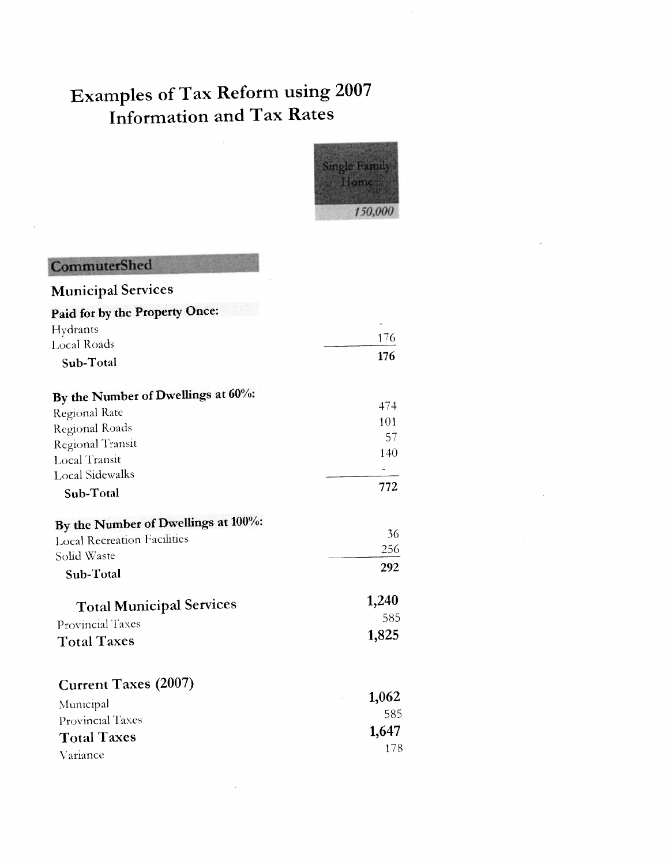

| CommuterShed                          |       |
|---------------------------------------|-------|
| <b>Municipal Services</b>             |       |
| <b>Paid for by the Property Once:</b> |       |
| Hydrants                              |       |
| <b>Local Roads</b>                    | 176   |
| Sub-Total                             | 176   |
| By the Number of Dwellings at 60%:    |       |
| <b>Regional Rate</b>                  | 474   |
| Regional Roads                        | 101   |
| Regional Transit                      | 57    |
| <b>Local Transit</b>                  | 140   |
| <b>Local Sidewalks</b>                |       |
| Sub-Total                             | 772   |
| By the Number of Dwellings at 100%:   |       |
| <b>Local Recreation Facilities</b>    | 36    |
| Solid Waste                           | 256   |
| Sub-Total                             | 292   |
| <b>Total Municipal Services</b>       | 1,240 |
| Provincial Taxes                      | 585   |
| <b>Total Taxes</b>                    | 1,825 |
| <b>Current Taxes (2007)</b>           |       |
| Municipal                             | 1,062 |
| Provincial Taxes                      | 585   |
| <b>Total Taxes</b>                    | 1,647 |
| Variance                              | 178   |
|                                       |       |

 $\overline{\phantom{a}}$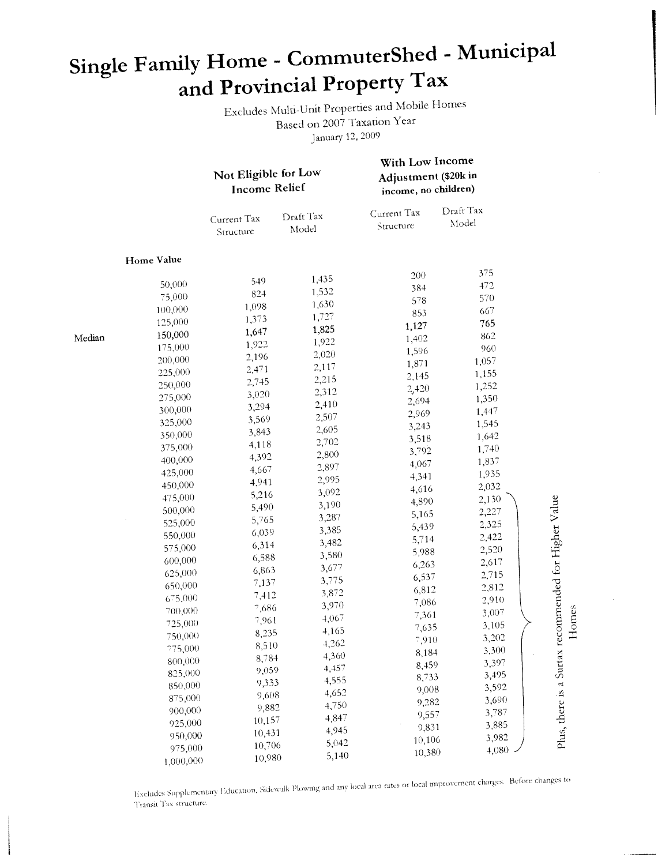# Single Family Home - CommuterShed - Municipal and Provincial Property Tax

Excludes Multi-Unit Properties and Mobile Homes Based on 2007 Taxation Year January 12, 2009

|        |                    | Not Eligible for Low<br><b>Income Relief</b> |                    | With Low Income<br>Adjustment (\$20k in<br>income, no children) |                    |                             |
|--------|--------------------|----------------------------------------------|--------------------|-----------------------------------------------------------------|--------------------|-----------------------------|
|        |                    | Current Tax<br>Structure                     | Draft Tax<br>Model | Current Tax<br>Structure                                        | Draft Tax<br>Model |                             |
|        | Home Value         |                                              |                    |                                                                 |                    |                             |
|        |                    | 549                                          | 1,435              | 200                                                             | 375                |                             |
|        | 50,000             | 824                                          | 1,532              | 384                                                             | 472                |                             |
|        | 75,000             | 1,098                                        | 1,630              | 578                                                             | 570                |                             |
|        | 100,000            | 1,373                                        | 1,727              | 853                                                             | 667                |                             |
|        | 125,000            | 1,647                                        | 1,825              | 1,127                                                           | 765                |                             |
| Median | 150,000            | 1,922                                        | 1,922              | 1,402                                                           | 862                |                             |
|        | 175,000            | 2,196                                        | 2,020              | 1,596                                                           | 960                |                             |
|        | 200,000            | 2,471                                        | 2,117              | 1,871                                                           | 1,057              |                             |
|        | 225,000            | 2,745                                        | 2,215              | 2,145                                                           | 1,155              |                             |
|        | 250,000            | 3,020                                        | 2,312              | 2,420                                                           | 1,252              |                             |
|        | 275,000            | 3,294                                        | 2,410              | 2,694                                                           | 1,350              |                             |
|        | 300,000            | 3,569                                        | 2,507              | 2,969                                                           | 1,447              |                             |
|        | 325,000            | 3,843                                        | 2,605              | 3,243                                                           | 1,545              |                             |
|        | 350,000            | 4,118                                        | 2,702              | 3,518                                                           | 1,642              |                             |
|        | 375,000            | 4,392                                        | 2,800              | 3,792                                                           | 1,740              |                             |
|        | 400,000            | 4,667                                        | 2,897              | 4,067                                                           | 1,837              |                             |
|        | 425,000            | 4,941                                        | 2,995              | 4,341                                                           | 1,935              |                             |
|        | 450,000            | 5,216                                        | 3,092              | 4,616                                                           | 2,032              |                             |
|        | 475,000            | 5,490                                        | 3,190              | 4,890                                                           | 2,130              | ecommended for Higher Value |
|        | 500,000            | 5,765                                        | 3,287              | 5,165                                                           | 2,227              |                             |
|        | 525,000            | 6,039                                        | 3,385              | 5,439                                                           | 2,325              |                             |
|        | 550,000            | 6,314                                        | 3,482              | 5,714                                                           | 2,422              |                             |
|        | 575,000            | 6,588                                        | 3,580              | 5,988                                                           | 2,520              |                             |
|        | 600,000            | 6,863                                        | 3,677              | 6,263                                                           | 2,617              |                             |
|        | 625,000            | 7,137                                        | 3,775              | 6,537                                                           | 2,715              |                             |
|        | 650,000            | 7,412                                        | 3,872              | 6,812                                                           | 2,812              |                             |
|        | 675,000            | 7,686                                        | 3,970              | 7,086                                                           | 2,910              |                             |
|        | 700,000<br>725,000 | 7,961                                        | 4,067              | 7,361                                                           | 3,007              | Homes                       |
|        | 750,000            | 8,235                                        | 4,165              | 7,635                                                           | 3,105              |                             |
|        | 775,000            | 8,510                                        | 4,262              | 7,910                                                           | 3,202              |                             |
|        |                    | 8,784                                        | 4,360              | 8,184                                                           | 3,300              |                             |
|        | 800,000<br>825,000 | 9,059                                        | 4,457              | 8,459                                                           | 3,397              |                             |
|        | 850,000            | 9,333                                        | 4,555              | 8,733                                                           | 3,495              |                             |
|        | 875,000            | 9,608                                        | 4,652              | 9,008                                                           | 3,592              |                             |
|        | 900,000            | 9,882                                        | 4,750              | 9,282                                                           | 3,690              |                             |
|        | 925,000            | 10,157                                       | 4,847              | 9,557                                                           | 3,787              |                             |
|        | 950,000            | 10,431                                       | 4,945              | 9,831                                                           | 3,885              |                             |
|        | 975,000            | 10,706                                       | 5,042              | 10,106                                                          | 3,982              | Plus, there is a Surtax 1   |
|        | 1,000,000          | 10,980                                       | 5,140              | 10,380                                                          | 4,080              |                             |

Excludes Supplementary Education, Sidewalk Plowing and any local area rates or local improvement charges. Before changes to Transit Tax structure.

 $\sim$  10000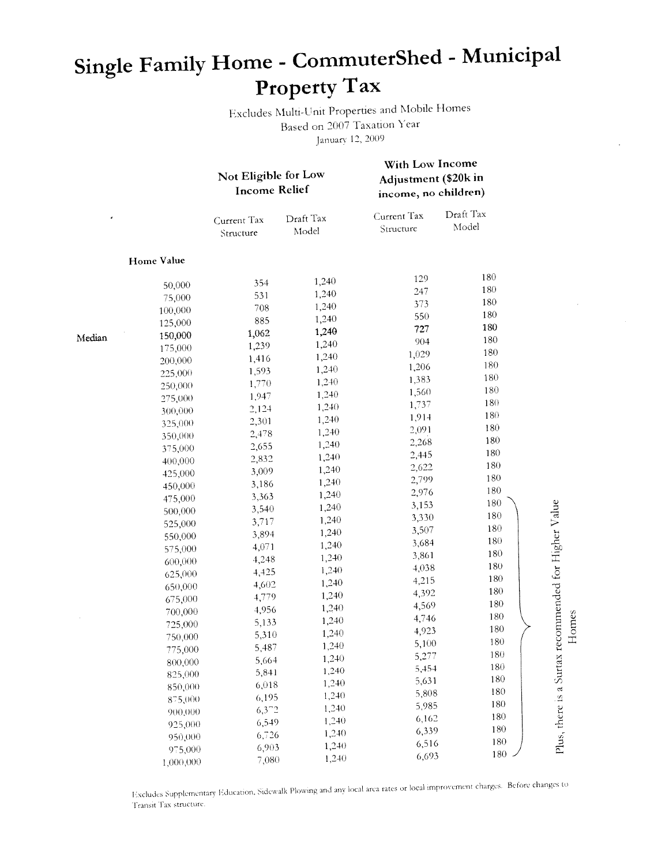# Single Family Home - CommuterShed - Municipal Property Tax

Excludes Multi-Unit Properties and Mobile Homes Based on 2007 Taxation Year January 12, 2009

|        |            | Not Eligible for Low<br><b>Income Relief</b> |                    | With Low Income<br>Adjustment (\$20k in<br>income, no children) |                    |                             |
|--------|------------|----------------------------------------------|--------------------|-----------------------------------------------------------------|--------------------|-----------------------------|
|        |            | Current Tax<br>Structure                     | Draft Tax<br>Model | Current Tax<br>Structure                                        | Draft Tax<br>Model |                             |
|        | Home Value |                                              |                    |                                                                 |                    |                             |
|        | 50,000     | 354                                          | 1,240              | 129                                                             | 180                |                             |
|        | 75,000     | 531                                          | 1,240              | 247                                                             | 180                |                             |
|        | 100,000    | 708                                          | 1,240              | 373                                                             | 180                |                             |
|        | 125,000    | 885                                          | 1,240              | 550                                                             | 180                |                             |
|        | 150,000    | 1,062                                        | 1,240              | 727                                                             | 180                |                             |
| Median | 175,000    | 1,239                                        | 1,240              | 904                                                             | 180                |                             |
|        | 200,000    | 1,416                                        | 1,240              | 1,029                                                           | 180                |                             |
|        | 225,000    | 1,593                                        | 1,240              | 1,206                                                           | 180                |                             |
|        | 250,000    | 1,770                                        | 1,240              | 1,383                                                           | 180                |                             |
|        | 275,000    | 1,947                                        | 1,240              | 1,560                                                           | 180                |                             |
|        | 300,000    | 2,124                                        | 1,240              | 1,737                                                           | 180                |                             |
|        | 325,000    | 2,301                                        | 1,240              | 1,914                                                           | 180                |                             |
|        | 350,000    | 2,478                                        | 1,240              | 2,091                                                           | 180                |                             |
|        | 375,000    | 2,655                                        | 1,240              | 2,268                                                           | 180                |                             |
|        | 400,000    | 2,832                                        | 1,240              | 2,445                                                           | 180                |                             |
|        | 425,000    | 3,009                                        | 1,240              | 2,622                                                           | 180                |                             |
|        | 450,000    | 3,186                                        | 1,240              | 2,799                                                           | 180                |                             |
|        | 475,000    | 3,363                                        | 1,240              | 2,976                                                           | 180                |                             |
|        | 500,000    | 3,540                                        | 1,240              | 3,153                                                           | 180                | ecommended for Higher Value |
|        | 525,000    | 3,717                                        | 1,240              | 3,330                                                           | 180                |                             |
|        | 550,000    | 3,894                                        | 1,240              | 3,507                                                           | 180                |                             |
|        | 575,000    | 4,071                                        | 1,240              | 3,684                                                           | 180                |                             |
|        | 600,000    | 4,248                                        | 1,240              | 3,861                                                           | 180                |                             |
|        | 625,000    | 4,425                                        | 1,240              | 4,038                                                           | 180                |                             |
|        | 650,000    | 4,602                                        | 1,240              | 4,215                                                           | 180                |                             |
|        | 675,000    | 4,779                                        | 1,240              | 4,392                                                           | 180                |                             |
|        | 700,000    | 4,956                                        | 1,240              | 4,569                                                           | 180                |                             |
|        | 725,000    | 5,133                                        | 1,240              | 4,746                                                           | 180                |                             |
|        | 750,000    | 5,310                                        | 1,240              | 4,923                                                           | 180                | Homes                       |
|        | 775,000    | 5,487                                        | 1,240              | 5,100                                                           | 180                | ۳                           |
|        | 800,000    | 5,664                                        | 1,240              | 5,277                                                           | 180                |                             |
|        | 825,000    | 5,841                                        | 1,240              | 5,454                                                           | 180                |                             |
|        | 850,000    | 6,018                                        | 1,240              | 5,631                                                           | 180                |                             |
|        | 875,000    | 6,195                                        | 1,240              | 5,808                                                           | 180                |                             |
|        | 900,000    | $6,3^{\circ}2$                               | 1,240              | 5,985                                                           | 180                |                             |
|        | 925,000    | 6,549                                        | 1,240              | 6,162                                                           | 180                |                             |
|        | 950,000    | 6,726                                        | 1,240              | 6,339                                                           | 180                |                             |
|        | 975,000    | 6,903                                        | 1,240              | 6,516                                                           | 180                | Plus, there is a Surtax     |
|        | 1,000,000  | 7,080                                        | 1,240              | 6,693                                                           | 180                |                             |

Excludes Supplementary Education, Sidewalk Plowing and any local area rates or local improvement charges. Before changes to Transit Tax structure.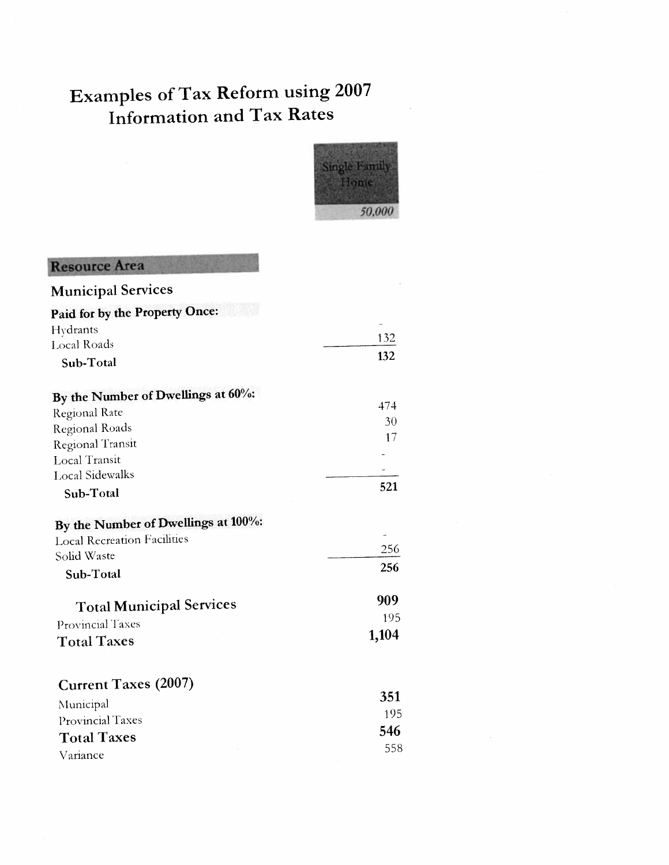

### **Resource Area**

| Paid for by the Property Once:<br>Hydrants<br>132<br><b>Local Roads</b><br>132<br>Sub-Total<br>By the Number of Dwellings at 60%:<br>474<br>Regional Rate<br>30<br>Regional Roads<br>17<br><b>Regional Transit</b><br>Local Transit<br><b>Local Sidewalks</b><br>521<br>Sub-Total<br>By the Number of Dwellings at 100%:<br><b>Local Recreation Facilities</b><br>256<br>Solid Waste<br>256<br>Sub-Total<br>909<br><b>Total Municipal Services</b><br>195<br><b>Provincial Taxes</b><br>1,104<br><b>Total Taxes</b><br><b>Current Taxes (2007)</b><br>351<br>Municipal | <b>Municipal Services</b> |     |
|------------------------------------------------------------------------------------------------------------------------------------------------------------------------------------------------------------------------------------------------------------------------------------------------------------------------------------------------------------------------------------------------------------------------------------------------------------------------------------------------------------------------------------------------------------------------|---------------------------|-----|
|                                                                                                                                                                                                                                                                                                                                                                                                                                                                                                                                                                        |                           |     |
|                                                                                                                                                                                                                                                                                                                                                                                                                                                                                                                                                                        |                           |     |
|                                                                                                                                                                                                                                                                                                                                                                                                                                                                                                                                                                        |                           |     |
|                                                                                                                                                                                                                                                                                                                                                                                                                                                                                                                                                                        |                           |     |
|                                                                                                                                                                                                                                                                                                                                                                                                                                                                                                                                                                        |                           |     |
|                                                                                                                                                                                                                                                                                                                                                                                                                                                                                                                                                                        |                           |     |
|                                                                                                                                                                                                                                                                                                                                                                                                                                                                                                                                                                        |                           |     |
|                                                                                                                                                                                                                                                                                                                                                                                                                                                                                                                                                                        |                           |     |
|                                                                                                                                                                                                                                                                                                                                                                                                                                                                                                                                                                        |                           |     |
|                                                                                                                                                                                                                                                                                                                                                                                                                                                                                                                                                                        |                           |     |
|                                                                                                                                                                                                                                                                                                                                                                                                                                                                                                                                                                        |                           |     |
|                                                                                                                                                                                                                                                                                                                                                                                                                                                                                                                                                                        |                           |     |
|                                                                                                                                                                                                                                                                                                                                                                                                                                                                                                                                                                        |                           |     |
|                                                                                                                                                                                                                                                                                                                                                                                                                                                                                                                                                                        |                           |     |
|                                                                                                                                                                                                                                                                                                                                                                                                                                                                                                                                                                        |                           |     |
|                                                                                                                                                                                                                                                                                                                                                                                                                                                                                                                                                                        |                           |     |
|                                                                                                                                                                                                                                                                                                                                                                                                                                                                                                                                                                        |                           |     |
|                                                                                                                                                                                                                                                                                                                                                                                                                                                                                                                                                                        |                           |     |
|                                                                                                                                                                                                                                                                                                                                                                                                                                                                                                                                                                        |                           |     |
|                                                                                                                                                                                                                                                                                                                                                                                                                                                                                                                                                                        |                           |     |
|                                                                                                                                                                                                                                                                                                                                                                                                                                                                                                                                                                        | Provincial Taxes          | 195 |
| 546<br><b>Total Taxes</b>                                                                                                                                                                                                                                                                                                                                                                                                                                                                                                                                              |                           |     |
| 558<br>Variance                                                                                                                                                                                                                                                                                                                                                                                                                                                                                                                                                        |                           |     |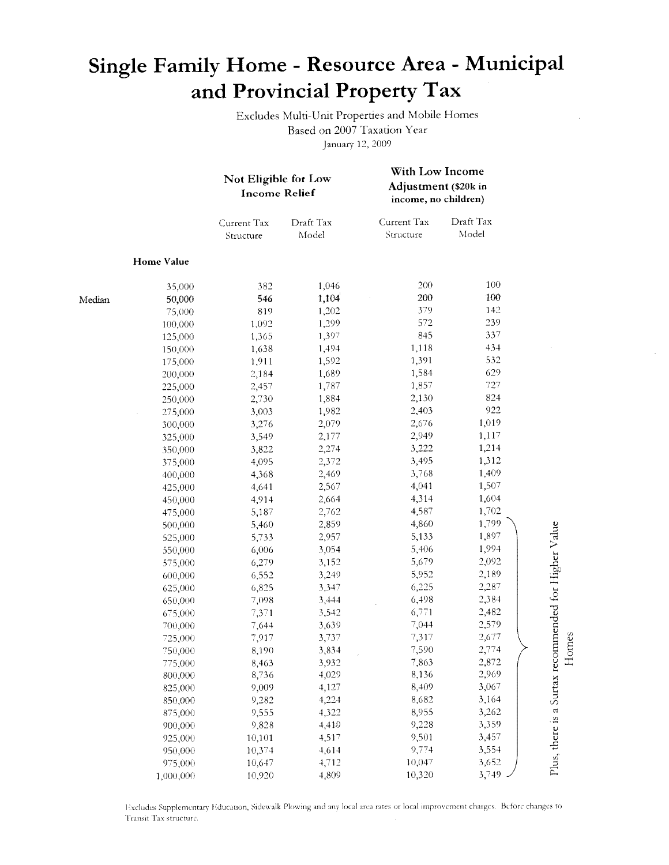## Single Family Home - Resource Area - Municipal and Provincial Property Tax

Excludes Multi-Unit Properties and Mobile Homes Based on 2007 Taxation Year January 12, 2009

With Low Income

|        |            | Not Eligible for Low<br><b>Income Relief</b> |                    | Adjustment (\$20k in<br>income, no children) |                    |                                                      |       |
|--------|------------|----------------------------------------------|--------------------|----------------------------------------------|--------------------|------------------------------------------------------|-------|
|        |            | Current Tax<br>Structure                     | Draft Tax<br>Model | Current Tax<br>Structure                     | Draft Tax<br>Model |                                                      |       |
|        | Home Value |                                              |                    |                                              |                    |                                                      |       |
|        | 35,000     | 382                                          | 1,046              | 200                                          | 100                |                                                      |       |
| Median | 50,000     | 546                                          | 1,104              | 200                                          | 100                |                                                      |       |
|        | 75,000     | 819                                          | 1,202              | 379                                          | 142                |                                                      |       |
|        | 100,000    | 1,092                                        | 1,299              | 572                                          | 239                |                                                      |       |
|        | 125,000    | 1,365                                        | 1,397              | 845                                          | 337                |                                                      |       |
|        | 150,000    | 1,638                                        | 1,494              | 1,118                                        | 434                |                                                      |       |
|        | 175,000    | 1,911                                        | 1,592              | 1,391                                        | 532                |                                                      |       |
|        | 200,000    | 2,184                                        | 1,689              | 1,584                                        | 629                |                                                      |       |
|        | 225,000    | 2,457                                        | 1,787              | 1,857                                        | 727                |                                                      |       |
|        | 250,000    | 2,730                                        | 1,884              | 2,130                                        | 824                |                                                      |       |
|        | 275,000    | 3,003                                        | 1,982              | 2,403                                        | 922                |                                                      |       |
|        | 300,000    | 3,276                                        | 2,079              | 2,676                                        | 1,019              |                                                      |       |
|        | 325,000    | 3,549                                        | 2,177              | 2,949                                        | 1,117              |                                                      |       |
|        | 350,000    | 3,822                                        | 2,274              | 3,222                                        | 1,214              |                                                      |       |
|        | 375,000    | 4,095                                        | 2,372              | 3,495                                        | 1,312              |                                                      |       |
|        | 400,000    | 4,368                                        | 2,469              | 3,768                                        | 1,409              |                                                      |       |
|        | 425,000    | 4,641                                        | 2,567              | 4,041                                        | 1,507              |                                                      |       |
|        | 450,000    | 4,914                                        | 2,664              | 4,314                                        | 1,604              |                                                      |       |
|        | 475,000    | 5,187                                        | 2,762              | 4,587                                        | 1,702              |                                                      |       |
|        | 500,000    | 5,460                                        | 2,859              | 4,860                                        | 1,799              |                                                      |       |
|        | 525,000    | 5,733                                        | 2,957              | 5,133                                        | 1,897              |                                                      |       |
|        | 550,000    | 6,006                                        | 3,054              | 5,406                                        | 1,994              |                                                      |       |
|        | 575,000    | 6,279                                        | 3,152              | 5,679                                        | 2,092              |                                                      |       |
|        | 600,000    | 6,552                                        | 3,249              | 5,952                                        | 2,189              |                                                      |       |
|        | 625,000    | 6,825                                        | 3,347              | 6,225                                        | 2,287              |                                                      |       |
|        | 650,000    | 7,098                                        | 3,444              | 6,498                                        | 2,384              |                                                      |       |
|        | 675,000    | 7,371                                        | 3,542              | 6,771                                        | 2,482              |                                                      |       |
|        | 700,000    | 7,644                                        | 3,639              | 7,044                                        | 2,579              |                                                      |       |
|        | 725,000    | 7,917                                        | 3,737              | 7,317                                        | 2,677              |                                                      | Homes |
|        | 750,000    | 8,190                                        | 3,834              | 7,590                                        | 2,774              |                                                      |       |
|        | 775,000    | 8,463                                        | 3,932              | 7,863                                        | 2,872              |                                                      |       |
|        | 800,000    | 8,736                                        | 4,029              | 8,136                                        | 2,969              |                                                      |       |
|        | 825,000    | 9,009                                        | 4,127              | 8,409                                        | 3,067              |                                                      |       |
|        | 850,000    | 9,282                                        | 4,224              | 8,682                                        | 3,164              |                                                      |       |
|        | 875,000    | 9,555                                        | 4,322              | 8,955                                        | 3,262              | Plus, there is a Surtax recommended for Higher Value |       |
|        | 900,000    | 9,828                                        | 4,419              | 9,228                                        | 3,359              |                                                      |       |
|        | 925,000    | 10,101                                       | 4,517              | 9,501                                        | 3,457              |                                                      |       |
|        | 950,000    | 10,374                                       | 4,614              | 9,774                                        | 3,554              |                                                      |       |
|        | 975,000    | 10,647                                       | 4,712              | 10,047                                       | 3,652              |                                                      |       |
|        | 1,000,000  | 10,920                                       | 4,809              | 10,320                                       | 3,749              |                                                      |       |

Excludes Supplementary Education, Sidewalk Plowing and any local area rates or local improvement charges. Before changes to Transit Tax structure.